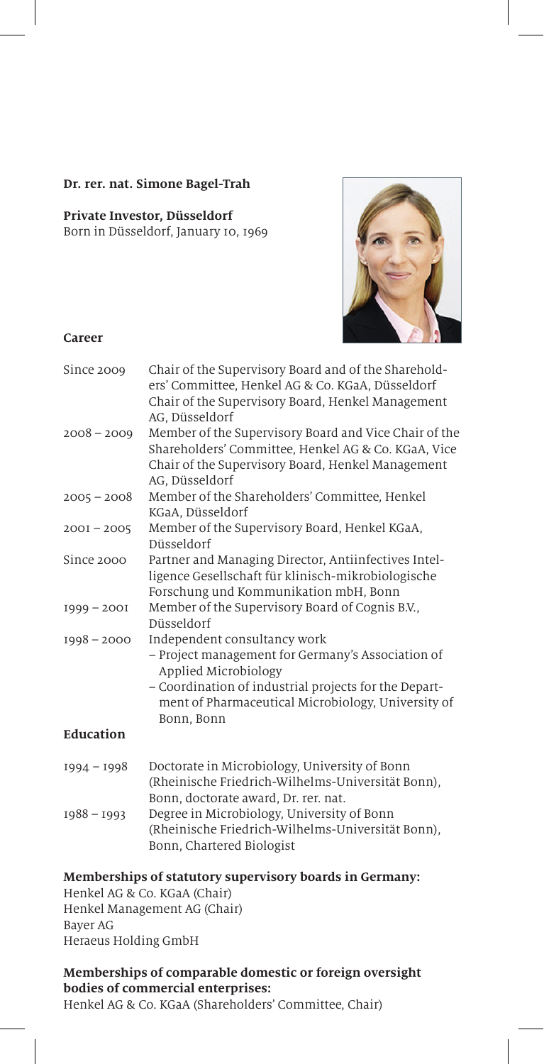#### **Dr. rer. nat. Simone Bagel-Trah**

#### **Private Investor, Düsseldorf**

Born in Düsseldorf, January 10, 1969



#### **Career**

| Since 2009    | Chair of the Supervisory Board and of the Sharehold-<br>ers' Committee, Henkel AG & Co. KGaA, Düsseldorf<br>Chair of the Supervisory Board, Henkel Management<br>AG, Düsseldorf                                                        |
|---------------|----------------------------------------------------------------------------------------------------------------------------------------------------------------------------------------------------------------------------------------|
| $2008 - 2009$ | Member of the Supervisory Board and Vice Chair of the<br>Shareholders' Committee, Henkel AG & Co. KGaA, Vice<br>Chair of the Supervisory Board, Henkel Management<br>AG, Düsseldorf                                                    |
| $2005 - 2008$ | Member of the Shareholders' Committee, Henkel<br>KGaA, Düsseldorf                                                                                                                                                                      |
| $200I - 2005$ | Member of the Supervisory Board, Henkel KGaA,<br>Düsseldorf                                                                                                                                                                            |
| Since 2000    | Partner and Managing Director, Antiinfectives Intel-<br>ligence Gesellschaft für klinisch-mikrobiologische<br>Forschung und Kommunikation mbH, Bonn                                                                                    |
| $1999 - 2001$ | Member of the Supervisory Board of Cognis B.V.,<br>Düsseldorf                                                                                                                                                                          |
| $1998 - 2000$ | Independent consultancy work<br>- Project management for Germany's Association of<br>Applied Microbiology<br>- Coordination of industrial projects for the Depart-<br>ment of Pharmaceutical Microbiology, University of<br>Bonn, Bonn |
| Education     |                                                                                                                                                                                                                                        |
| $1994 - 1998$ | Doctorate in Microbiology, University of Bonn<br>(Rheinische Friedrich-Wilhelms-Universität Bonn),<br>Bonn, doctorate award, Dr. rer. nat.                                                                                             |
| $1988 - 1993$ | Degree in Microbiology, University of Bonn<br>(Rheinische Friedrich-Wilhelms-Universität Bonn),<br>Bonn, Chartered Biologist                                                                                                           |

#### **Memberships of statutory supervisory boards in Germany:**

Henkel AG & Co. KGaA (Chair) Henkel Management AG (Chair) Bayer AG Heraeus Holding GmbH

# **Memberships of comparable domestic or foreign oversight bodies of commercial enterprises:**

Henkel AG & Co. KGaA (Shareholders' Committee, Chair)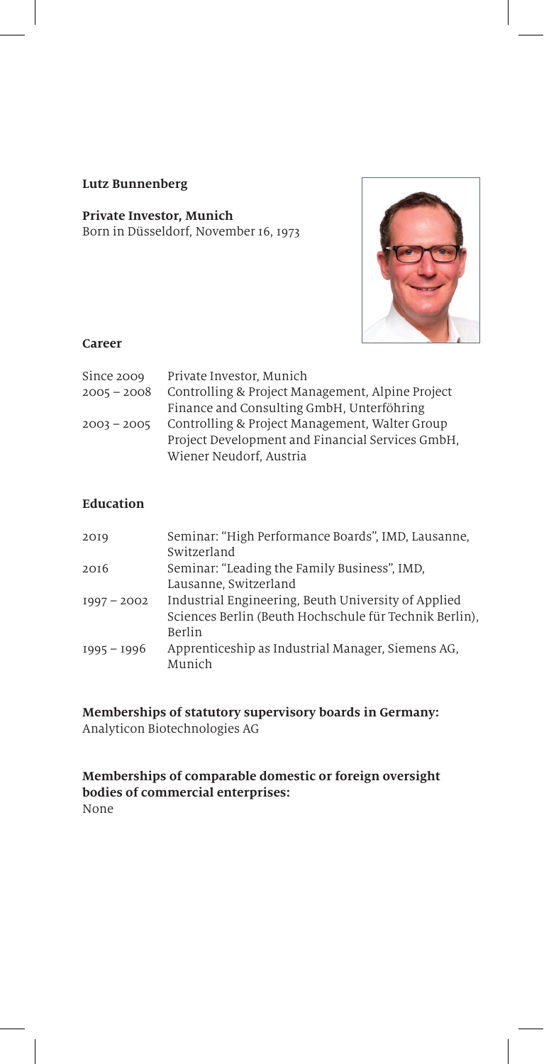#### **Lutz Bunnenberg**

# **Private Investor, Munich**

Born in Düsseldorf, November 16, 1973



#### **Career**

| Since 2009    | Private Investor, Munich                         |
|---------------|--------------------------------------------------|
| $2005 - 2008$ | Controlling & Project Management, Alpine Project |
|               | Finance and Consulting GmbH, Unterföhring        |
| $2003 - 2005$ | Controlling & Project Management, Walter Group   |
|               | Project Development and Financial Services GmbH. |
|               | Wiener Neudorf, Austria                          |

# **Education**

| 2019          | Seminar: "High Performance Boards", IMD, Lausanne,<br>Switzerland |
|---------------|-------------------------------------------------------------------|
| 2016          | Seminar: "Leading the Family Business", IMD,                      |
|               | Lausanne, Switzerland                                             |
| $1997 - 2002$ | Industrial Engineering, Beuth University of Applied               |
|               | Sciences Berlin (Beuth Hochschule für Technik Berlin).            |
|               | Berlin                                                            |
| $1995 - 1996$ | Apprenticeship as Industrial Manager, Siemens AG,                 |
|               | Munich                                                            |

# **Memberships of statutory supervisory boards in Germany:**

Analyticon Biotechnologies AG

#### **Memberships of comparable domestic or foreign oversight bodies of commercial enterprises:** None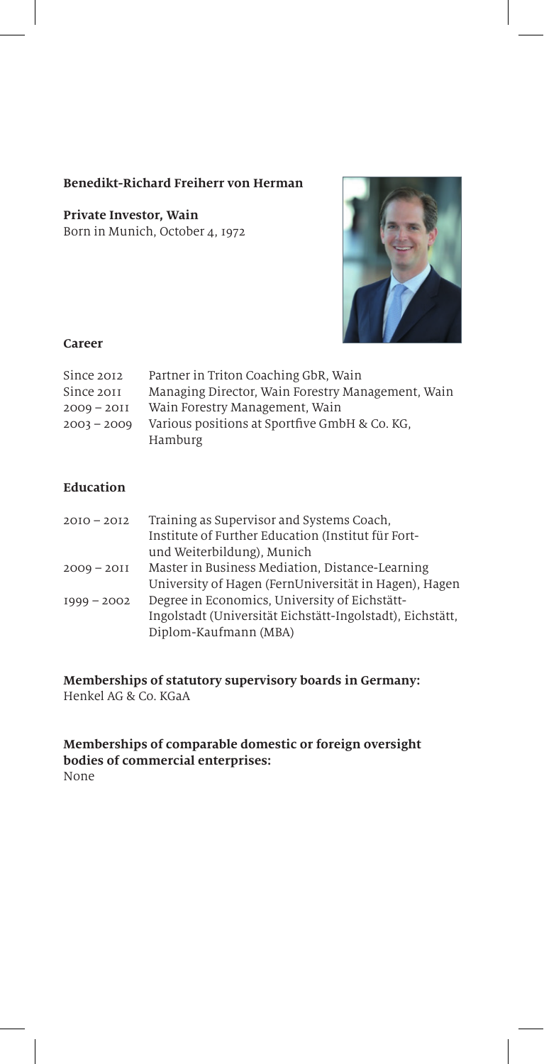# **Benedikt-Richard Freiherr von Herman**

**Private Investor, Wain** Born in Munich, October 4, 1972



#### **Career**

| Since 2012    | Partner in Triton Coaching GbR, Wain              |
|---------------|---------------------------------------------------|
| Since 2011    | Managing Director, Wain Forestry Management, Wain |
| $2009 - 2011$ | Wain Forestry Management, Wain                    |
| $2003 - 2009$ | Various positions at Sportfive GmbH & Co. KG.     |
|               | Hamburg                                           |

# **Education**

| $20I0 - 20I2$ | Training as Supervisor and Systems Coach,                 |
|---------------|-----------------------------------------------------------|
|               | Institute of Further Education (Institut für Fort-        |
|               | und Weiterbildung), Munich                                |
| $2009 - 2011$ | Master in Business Mediation, Distance-Learning           |
|               | University of Hagen (FernUniversität in Hagen), Hagen     |
| $1999 - 2002$ | Degree in Economics, University of Eichstätt-             |
|               | Ingolstadt (Universität Eichstätt-Ingolstadt), Eichstätt, |
|               | Diplom-Kaufmann (MBA)                                     |

**Memberships of statutory supervisory boards in Germany:** Henkel AG & Co. KGaA

**Memberships of comparable domestic or foreign oversight bodies of commercial enterprises:**  None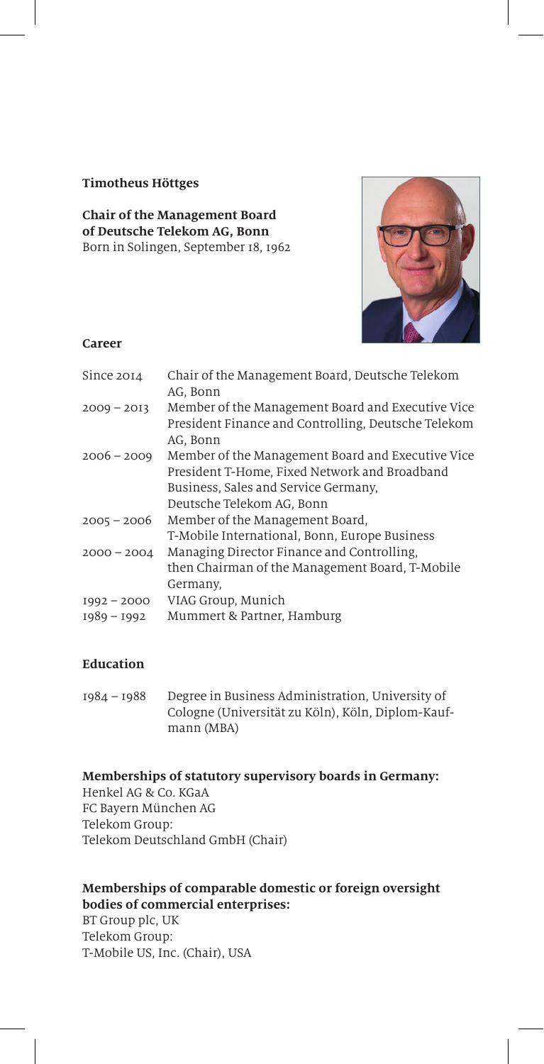#### **Timotheus Höttges**

**Chair of the Management Board of Deutsche Telekom AG, Bonn** Born in Solingen, September 18, 1962



#### **Career**

| Since 2014    | Chair of the Management Board, Deutsche Telekom     |
|---------------|-----------------------------------------------------|
|               | AG, Bonn                                            |
| $2009 - 2013$ | Member of the Management Board and Executive Vice   |
|               | President Finance and Controlling, Deutsche Telekom |
|               | AG. Bonn                                            |
| $2006 - 2009$ | Member of the Management Board and Executive Vice   |
|               | President T-Home, Fixed Network and Broadband       |
|               | Business, Sales and Service Germany,                |
|               | Deutsche Telekom AG, Bonn                           |
| $2005 - 2006$ | Member of the Management Board,                     |
|               | T-Mobile International, Bonn, Europe Business       |
| $2000 - 2004$ | Managing Director Finance and Controlling.          |
|               | then Chairman of the Management Board, T-Mobile     |
|               | Germany,                                            |
| $1992 - 2000$ | VIAG Group, Munich                                  |
| 1989 - 1992   | Mummert & Partner, Hamburg                          |
|               |                                                     |
|               |                                                     |

# **Education**

1984 – 1988 Degree in Business Administration, University of Cologne (Universität zu Köln), Köln, Diplom-Kaufmann (MBA)

#### **Memberships of statutory supervisory boards in Germany:**

Henkel AG & Co. KGaA FC Bayern München AG Telekom Group: Telekom Deutschland GmbH (Chair)

# **Memberships of comparable domestic or foreign oversight bodies of commercial enterprises:**

BT Group plc, UK Telekom Group: T-Mobile US, Inc. (Chair), USA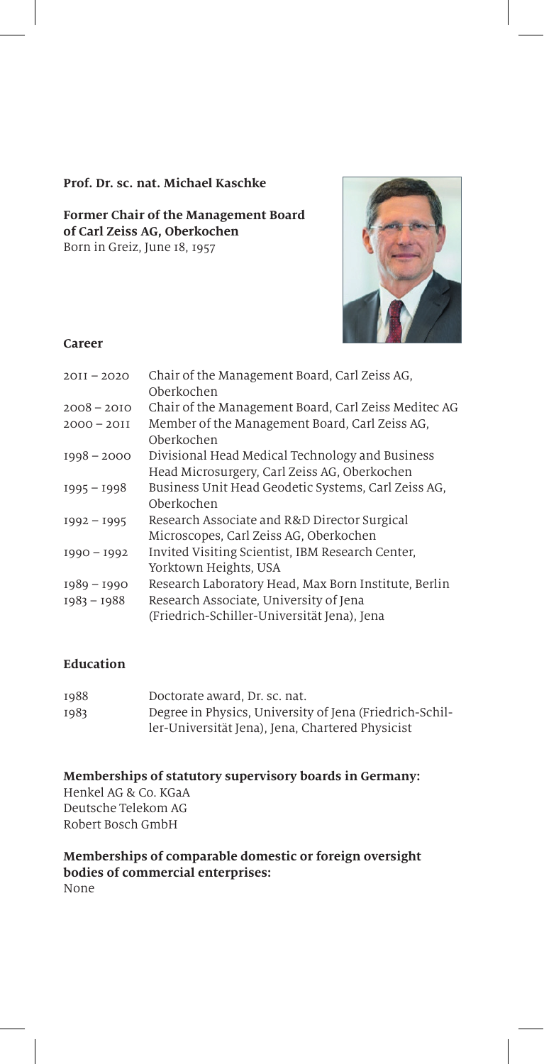#### **Prof. Dr. sc. nat. Michael Kaschke**

#### **Former Chair of the Management Board of Carl Zeiss AG, Oberkochen** Born in Greiz, June 18, 1957



#### **Career**

| $20II - 2020$                  | Chair of the Management Board, Carl Zeiss AG,<br>Oberkochen                                                                                   |
|--------------------------------|-----------------------------------------------------------------------------------------------------------------------------------------------|
| $2008 - 2010$                  | Chair of the Management Board, Carl Zeiss Meditec AG                                                                                          |
| $2000 - 2011$                  | Member of the Management Board, Carl Zeiss AG,<br>Oberkochen                                                                                  |
| $1998 - 2000$                  | Divisional Head Medical Technology and Business<br>Head Microsurgery, Carl Zeiss AG, Oberkochen                                               |
| $1995 - 1998$                  | Business Unit Head Geodetic Systems, Carl Zeiss AG,<br>Oberkochen                                                                             |
| $1992 - 1995$                  | Research Associate and R&D Director Surgical<br>Microscopes, Carl Zeiss AG, Oberkochen                                                        |
| $1990 - 1992$                  | Invited Visiting Scientist, IBM Research Center,<br>Yorktown Heights, USA                                                                     |
| $1989 - 1990$<br>$1983 - 1988$ | Research Laboratory Head, Max Born Institute, Berlin<br>Research Associate, University of Jena<br>(Friedrich-Schiller-Universität Jena), Jena |
|                                |                                                                                                                                               |

# **Education**

| 1988 | Doctorate award, Dr. sc. nat.                           |
|------|---------------------------------------------------------|
| 1983 | Degree in Physics, University of Jena (Friedrich-Schil- |
|      | ler-Universität Jena), Jena, Chartered Physicist        |

**Memberships of statutory supervisory boards in Germany:** Henkel AG & Co. KGaA Deutsche Telekom AG Robert Bosch GmbH

**Memberships of comparable domestic or foreign oversight bodies of commercial enterprises:**  None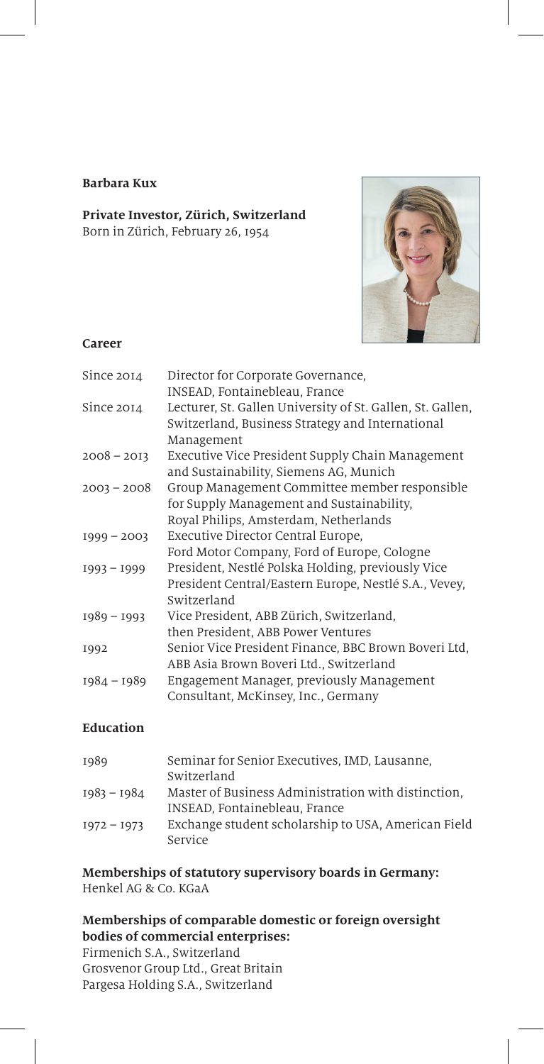#### **Barbara Kux**

#### **Private Investor, Zürich, Switzerland** Born in Zürich, February 26, 1954



#### **Career**

| Since 2014    | Director for Corporate Governance,                                                                                                              |
|---------------|-------------------------------------------------------------------------------------------------------------------------------------------------|
| Since 2014    | INSEAD, Fontainebleau, France<br>Lecturer, St. Gallen University of St. Gallen, St. Gallen,<br>Switzerland, Business Strategy and International |
| $2008 - 2013$ | Management<br>Executive Vice President Supply Chain Management                                                                                  |
|               | and Sustainability, Siemens AG, Munich                                                                                                          |
| $2003 - 2008$ | Group Management Committee member responsible<br>for Supply Management and Sustainability,                                                      |
|               | Royal Philips, Amsterdam, Netherlands                                                                                                           |
| $1999 - 2003$ | Executive Director Central Europe,                                                                                                              |
|               | Ford Motor Company, Ford of Europe, Cologne                                                                                                     |
| $1993 - 1999$ | President, Nestlé Polska Holding, previously Vice                                                                                               |
|               | President Central/Eastern Europe, Nestlé S.A., Vevey,<br>Switzerland                                                                            |
|               |                                                                                                                                                 |
| $1989 - 1993$ | Vice President, ABB Zürich, Switzerland,                                                                                                        |
|               | then President, ABB Power Ventures                                                                                                              |
| 1992          | Senior Vice President Finance, BBC Brown Boveri Ltd,                                                                                            |
|               | ABB Asia Brown Boveri Ltd., Switzerland                                                                                                         |
| $1984 - 1989$ | Engagement Manager, previously Management                                                                                                       |
|               | Consultant, McKinsey, Inc., Germany                                                                                                             |

# **Education**

| 1989          | Seminar for Senior Executives, IMD, Lausanne,<br>Switzerland   |
|---------------|----------------------------------------------------------------|
| $1983 - 1984$ | Master of Business Administration with distinction.            |
|               | INSEAD, Fontainebleau, France                                  |
| $1972 - 1973$ | Exchange student scholarship to USA, American Field<br>Service |

# **Memberships of statutory supervisory boards in Germany:**

Henkel AG & Co. KGaA

# **Memberships of comparable domestic or foreign oversight bodies of commercial enterprises:**

Firmenich S.A., Switzerland Grosvenor Group Ltd., Great Britain Pargesa Holding S.A., Switzerland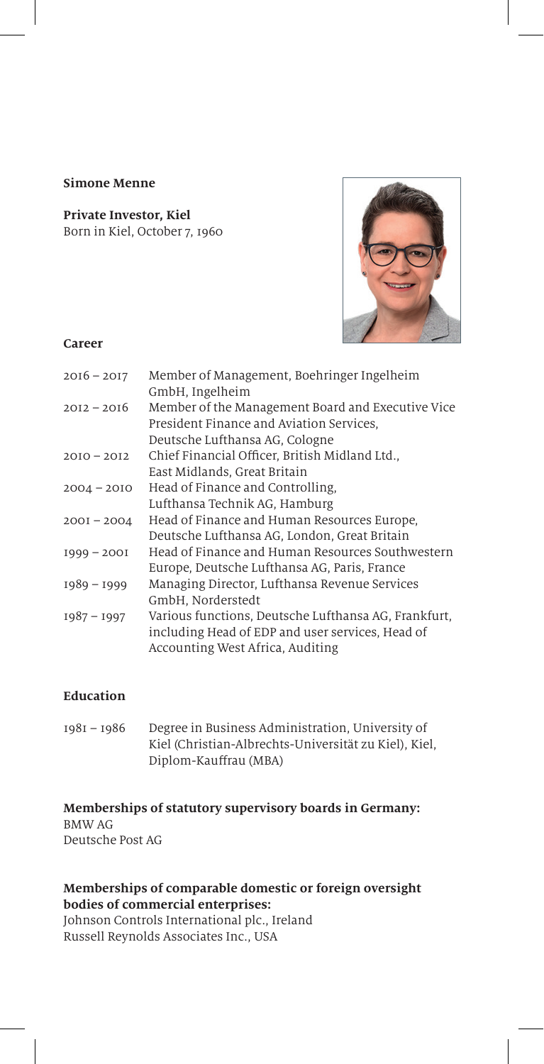#### **Simone Menne**

**Private Investor, Kiel** Born in Kiel, October 7, 1960



#### **Career**

| $2016 - 2017$ | Member of Management, Boehringer Ingelheim<br>GmbH, Ingelheim                                                                                |
|---------------|----------------------------------------------------------------------------------------------------------------------------------------------|
| $2012 - 2016$ | Member of the Management Board and Executive Vice<br>President Finance and Aviation Services.                                                |
| $2010 - 2012$ | Deutsche Lufthansa AG, Cologne<br>Chief Financial Officer, British Midland Ltd.,<br>East Midlands, Great Britain                             |
| $2004 - 2010$ | Head of Finance and Controlling.                                                                                                             |
| $200I - 2004$ | Lufthansa Technik AG, Hamburg<br>Head of Finance and Human Resources Europe,<br>Deutsche Lufthansa AG, London, Great Britain                 |
| $1999 - 2001$ | Head of Finance and Human Resources Southwestern<br>Europe, Deutsche Lufthansa AG, Paris, France                                             |
| $1989 - 1999$ | Managing Director, Lufthansa Revenue Services<br>GmbH, Norderstedt                                                                           |
| $1987 - 1997$ | Various functions, Deutsche Lufthansa AG, Frankfurt,<br>including Head of EDP and user services, Head of<br>Accounting West Africa, Auditing |

# **Education**

| $1981 - 1986$ | Degree in Business Administration, University of      |
|---------------|-------------------------------------------------------|
|               | Kiel (Christian-Albrechts-Universität zu Kiel), Kiel, |
|               | Diplom-Kauffrau (MBA)                                 |

#### **Memberships of statutory supervisory boards in Germany:** BMW AG Deutsche Post AG

#### **Memberships of comparable domestic or foreign oversight bodies of commercial enterprises:**

Johnson Controls International plc., Ireland Russell Reynolds Associates Inc., USA